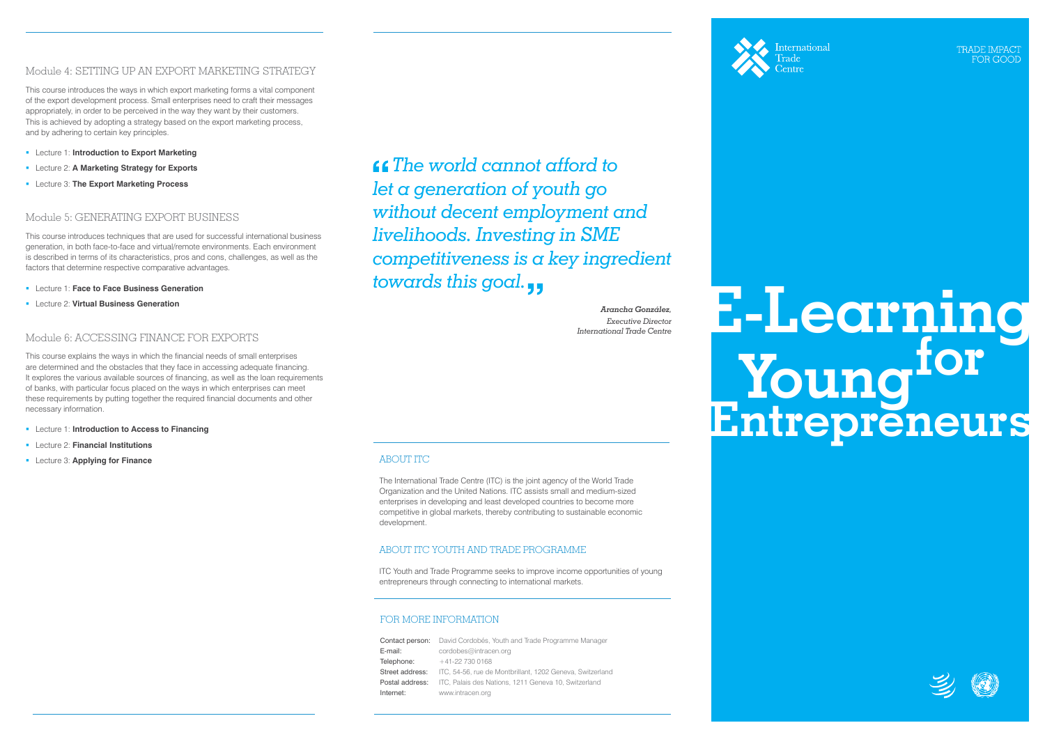## Module 4: SETTING UP AN EXPORT MARKETING STRATEGY

This course introduces the ways in which export marketing forms a vital component of the export development process. Small enterprises need to craft their messages appropriately, in order to be perceived in the way they want by their customers. This is achieved by adopting a strategy based on the export marketing process, and by adhering to certain key principles.

- Lecture 1: **Face to Face Business Generation**
- **Lecture 2: Virtual Business Generation**
- Lecture 1: **Introduction to Export Marketing**
- Lecture 2: **A Marketing Strategy for Exports**
- Lecture 3: **The Export Marketing Process**

## Module 5: GENERATING EXPORT BUSINESS

This course introduces techniques that are used for successful international business generation, in both face-to-face and virtual/remote environments. Each environment is described in terms of its characteristics, pros and cons, challenges, as well as the factors that determine respective comparative advantages.

- **Lecture 1: Introduction to Access to Financing**
- Lecture 2: **Financial Institutions**
- Lecture 3: **Applying for Finance**

## Module 6: ACCESSING FINANCE FOR EXPORTS

Contact person: David Cordobés, Youth and Trade Programme Manager E-mail: cordobes@intracen.org  $Telenhone: +41-22 730 0168$ Street address: ITC, 54-56, rue de Montbrillant, 1202 Geneva, Switzerland Postal address: ITC, Palais des Nations, 1211 Geneva 10, Switzerland Internet: www.intracen.org



**International** 

**TRADE IMPAC** FOR GOOI

This course explains the ways in which the financial needs of small enterprises are determined and the obstacles that they face in accessing adequate financing. It explores the various available sources of financing, as well as the loan requirements of banks, with particular focus placed on the ways in which enterprises can meet these requirements by putting together the required financial documents and other necessary information.

# *Irenata Conzilez* **E-Learning for the Centre Entrepreneurs**





## FOR MORE INFORMATION

## ABOUT ITC

The International Trade Centre (ITC) is the joint agency of the World Trade Organization and the United Nations. ITC assists small and medium-sized enterprises in developing and least developed countries to become more competitive in global markets, thereby contributing to sustainable economic development.

### ABOUT ITC YOUTH AND TRADE PROGRAMME

ITC Youth and Trade Programme seeks to improve income opportunities of young entrepreneurs through connecting to international markets.

 *The world cannot afford to let a generation of youth go without decent employment and livelihoods. Investing in SME competitiveness is a key ingredient towards this goal.*

> *Arancha González, Executive Director*